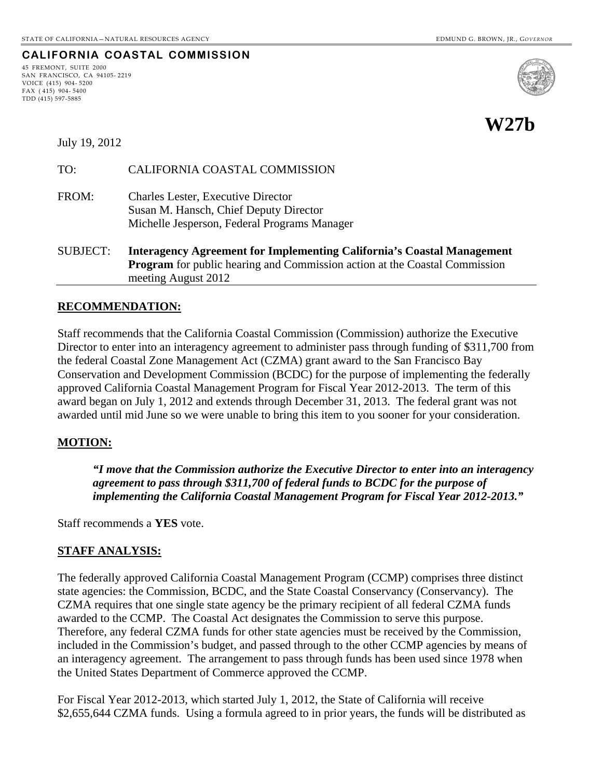**CALIFORNIA COASTAL COMMISSION**

#### 45 FREMONT, SUITE 2000 SAN FRANCISCO, CA 94105- 2219 VOICE (415) 904- 5200 FAX ( 415) 904- 5400 TDD (415) 597-5885



#### July 19, 2012

| TO:             | CALIFORNIA COASTAL COMMISSION                                                                                                                                                             |
|-----------------|-------------------------------------------------------------------------------------------------------------------------------------------------------------------------------------------|
| FROM:           | <b>Charles Lester, Executive Director</b><br>Susan M. Hansch, Chief Deputy Director<br>Michelle Jesperson, Federal Programs Manager                                                       |
| <b>SUBJECT:</b> | <b>Interagency Agreement for Implementing California's Coastal Management</b><br><b>Program</b> for public hearing and Commission action at the Coastal Commission<br>meeting August 2012 |

### **RECOMMENDATION:**

Staff recommends that the California Coastal Commission (Commission) authorize the Executive Director to enter into an interagency agreement to administer pass through funding of \$311,700 from the federal Coastal Zone Management Act (CZMA) grant award to the San Francisco Bay Conservation and Development Commission (BCDC) for the purpose of implementing the federally approved California Coastal Management Program for Fiscal Year 2012-2013. The term of this award began on July 1, 2012 and extends through December 31, 2013. The federal grant was not awarded until mid June so we were unable to bring this item to you sooner for your consideration.

#### **MOTION:**

*"I move that the Commission authorize the Executive Director to enter into an interagency agreement to pass through \$311,700 of federal funds to BCDC for the purpose of implementing the California Coastal Management Program for Fiscal Year 2012-2013."* 

Staff recommends a **YES** vote.

#### **STAFF ANALYSIS:**

The federally approved California Coastal Management Program (CCMP) comprises three distinct state agencies: the Commission, BCDC, and the State Coastal Conservancy (Conservancy). The CZMA requires that one single state agency be the primary recipient of all federal CZMA funds awarded to the CCMP. The Coastal Act designates the Commission to serve this purpose. Therefore, any federal CZMA funds for other state agencies must be received by the Commission, included in the Commission's budget, and passed through to the other CCMP agencies by means of an interagency agreement. The arrangement to pass through funds has been used since 1978 when the United States Department of Commerce approved the CCMP.

For Fiscal Year 2012-2013, which started July 1, 2012, the State of California will receive \$2,655,644 CZMA funds. Using a formula agreed to in prior years, the funds will be distributed as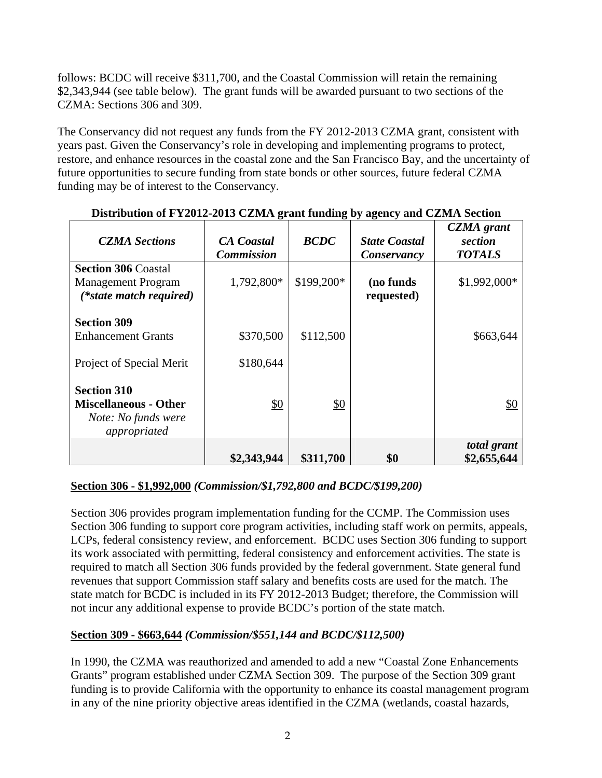follows: BCDC will receive \$311,700, and the Coastal Commission will retain the remaining \$2,343,944 (see table below).The grant funds will be awarded pursuant to two sections of the CZMA: Sections 306 and 309.

The Conservancy did not request any funds from the FY 2012-2013 CZMA grant, consistent with years past. Given the Conservancy's role in developing and implementing programs to protect, restore, and enhance resources in the coastal zone and the San Francisco Bay, and the uncertainty of future opportunities to secure funding from state bonds or other sources, future federal CZMA funding may be of interest to the Conservancy.

| <b>CZMA</b> Sections                                                                      | <b>CA</b> Coastal<br><b>Commission</b> | <b>BCDC</b>   | <b>State Coastal</b><br>Conservancy | <b>CZMA</b> grant<br>section<br><b>TOTALS</b> |
|-------------------------------------------------------------------------------------------|----------------------------------------|---------------|-------------------------------------|-----------------------------------------------|
| <b>Section 306 Coastal</b><br><b>Management Program</b><br>(*state match required)        | 1,792,800*                             | \$199,200*    | (no funds)<br>requested)            | \$1,992,000*                                  |
| <b>Section 309</b><br><b>Enhancement Grants</b><br>Project of Special Merit               | \$370,500<br>\$180,644                 | \$112,500     |                                     | \$663,644                                     |
| <b>Section 310</b><br><b>Miscellaneous - Other</b><br>Note: No funds were<br>appropriated | \$0                                    | $\frac{$0}{}$ |                                     | \$0                                           |
|                                                                                           | \$2,343,944                            | \$311,700     | \$0                                 | total grant<br>\$2,655,644                    |

### **Distribution of FY2012-2013 CZMA grant funding by agency and CZMA Section**

# **Section 306 - \$1,992,000** *(Commission/\$1,792,800 and BCDC/\$199,200)*

Section 306 provides program implementation funding for the CCMP. The Commission uses Section 306 funding to support core program activities, including staff work on permits, appeals, LCPs, federal consistency review, and enforcement. BCDC uses Section 306 funding to support its work associated with permitting, federal consistency and enforcement activities. The state is required to match all Section 306 funds provided by the federal government. State general fund revenues that support Commission staff salary and benefits costs are used for the match. The state match for BCDC is included in its FY 2012-2013 Budget; therefore, the Commission will not incur any additional expense to provide BCDC's portion of the state match.

# **Section 309 - \$663,644** *(Commission/\$551,144 and BCDC/\$112,500)*

In 1990, the CZMA was reauthorized and amended to add a new "Coastal Zone Enhancements Grants" program established under CZMA Section 309. The purpose of the Section 309 grant funding is to provide California with the opportunity to enhance its coastal management program in any of the nine priority objective areas identified in the CZMA (wetlands, coastal hazards,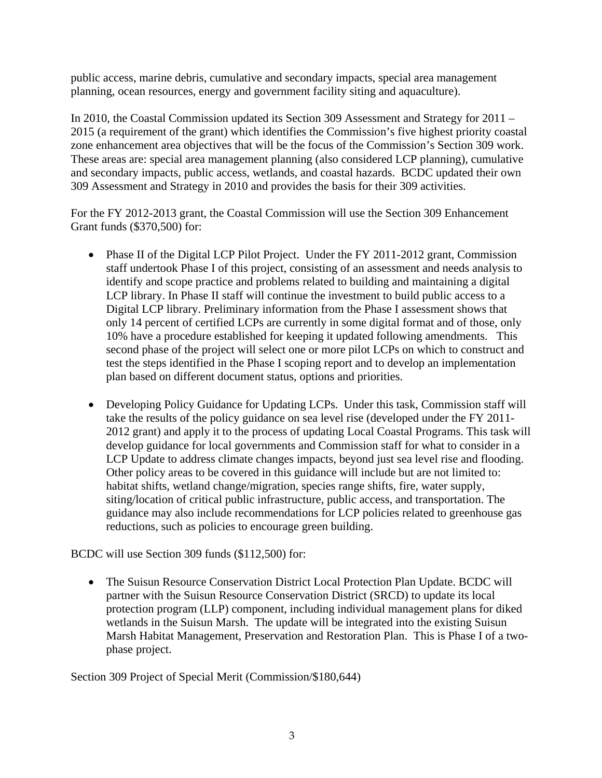public access, marine debris, cumulative and secondary impacts, special area management planning, ocean resources, energy and government facility siting and aquaculture).

In 2010, the Coastal Commission updated its Section 309 Assessment and Strategy for 2011 – 2015 (a requirement of the grant) which identifies the Commission's five highest priority coastal zone enhancement area objectives that will be the focus of the Commission's Section 309 work. These areas are: special area management planning (also considered LCP planning), cumulative and secondary impacts, public access, wetlands, and coastal hazards. BCDC updated their own 309 Assessment and Strategy in 2010 and provides the basis for their 309 activities.

For the FY 2012-2013 grant, the Coastal Commission will use the Section 309 Enhancement Grant funds (\$370,500) for:

- Phase II of the Digital LCP Pilot Project. Under the FY 2011-2012 grant, Commission staff undertook Phase I of this project, consisting of an assessment and needs analysis to identify and scope practice and problems related to building and maintaining a digital LCP library. In Phase II staff will continue the investment to build public access to a Digital LCP library. Preliminary information from the Phase I assessment shows that only 14 percent of certified LCPs are currently in some digital format and of those, only 10% have a procedure established for keeping it updated following amendments. This second phase of the project will select one or more pilot LCPs on which to construct and test the steps identified in the Phase I scoping report and to develop an implementation plan based on different document status, options and priorities.
- Developing Policy Guidance for Updating LCPs. Under this task, Commission staff will take the results of the policy guidance on sea level rise (developed under the FY 2011- 2012 grant) and apply it to the process of updating Local Coastal Programs. This task will develop guidance for local governments and Commission staff for what to consider in a LCP Update to address climate changes impacts, beyond just sea level rise and flooding. Other policy areas to be covered in this guidance will include but are not limited to: habitat shifts, wetland change/migration, species range shifts, fire, water supply, siting/location of critical public infrastructure, public access, and transportation. The guidance may also include recommendations for LCP policies related to greenhouse gas reductions, such as policies to encourage green building.

BCDC will use Section 309 funds (\$112,500) for:

• The Suisun Resource Conservation District Local Protection Plan Update. BCDC will partner with the Suisun Resource Conservation District (SRCD) to update its local protection program (LLP) component, including individual management plans for diked wetlands in the Suisun Marsh. The update will be integrated into the existing Suisun Marsh Habitat Management, Preservation and Restoration Plan. This is Phase I of a twophase project.

Section 309 Project of Special Merit (Commission/\$180,644)